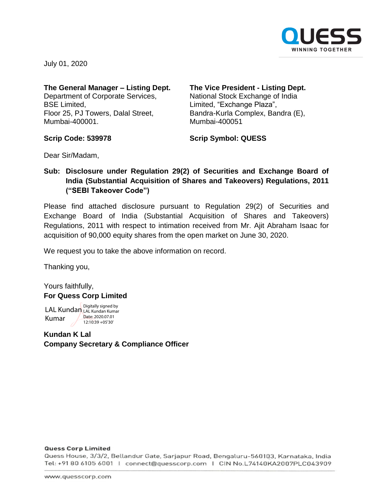

July 01, 2020

## **The General Manager – Listing Dept.** Department of Corporate Services,

BSE Limited, Floor 25, PJ Towers, Dalal Street, Mumbai-400001.

### **The Vice President - Listing Dept.** National Stock Exchange of India Limited, "Exchange Plaza", Bandra-Kurla Complex, Bandra (E), Mumbai-400051

**Scrip Code: 539978**

**Scrip Symbol: QUESS**

Dear Sir/Madam,

# **Sub: Disclosure under Regulation 29(2) of Securities and Exchange Board of India (Substantial Acquisition of Shares and Takeovers) Regulations, 2011 ("SEBI Takeover Code")**

Please find attached disclosure pursuant to Regulation 29(2) of Securities and Exchange Board of India (Substantial Acquisition of Shares and Takeovers) Regulations, 2011 with respect to intimation received from Mr. Ajit Abraham Isaac for acquisition of 90,000 equity shares from the open market on June 30, 2020.

We request you to take the above information on record.

Thanking you,

Yours faithfully, **For Quess Corp Limited**

LAL Kundan Digitally signed by Kumar LAL Kundan Kumar Date: 2020.07.01 12:10:39 +05'30'

**Kundan K Lal Company Secretary & Compliance Officer**

#### **Quess Corp Limited**

Quess House, 3/3/2, Bellandur Gate, Sarjapur Road, Bengaluru-560103, Karnataka, India Tel: +91 80 6105 6001 | connect@quesscorp.com | CIN No.L74140KA2007PLC043909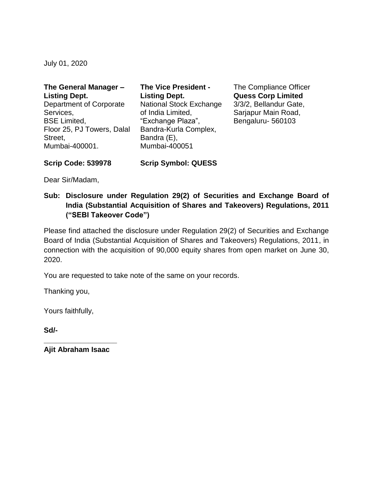July 01, 2020

| The General Manager -          | <b>The Vice President -</b>    |
|--------------------------------|--------------------------------|
| <b>Listing Dept.</b>           | <b>Listing Dept.</b>           |
| <b>Department of Corporate</b> | <b>National Stock Exchange</b> |
| Services,                      | of India Limited,              |
| <b>BSE Limited,</b>            | "Exchange Plaza",              |
| Floor 25, PJ Towers, Dalal     | Bandra-Kurla Complex,          |
| Street,                        | Bandra (E),                    |
| Mumbai-400001.                 | Mumbai-400051                  |

The Compliance Officer **Quess Corp Limited** 3/3/2, Bellandur Gate, Sarjapur Main Road, Bengaluru- 560103

Dear Sir/Madam,

**Scrip Code: 539978**

# **Sub: Disclosure under Regulation 29(2) of Securities and Exchange Board of India (Substantial Acquisition of Shares and Takeovers) Regulations, 2011 ("SEBI Takeover Code")**

**Scrip Symbol: QUESS**

Please find attached the disclosure under Regulation 29(2) of Securities and Exchange Board of India (Substantial Acquisition of Shares and Takeovers) Regulations, 2011, in connection with the acquisition of 90,000 equity shares from open market on June 30, 2020.

You are requested to take note of the same on your records.

Thanking you,

Yours faithfully,

**Sd/-**

**\_\_\_\_\_\_\_\_\_\_\_\_\_\_\_\_\_\_ Ajit Abraham Isaac**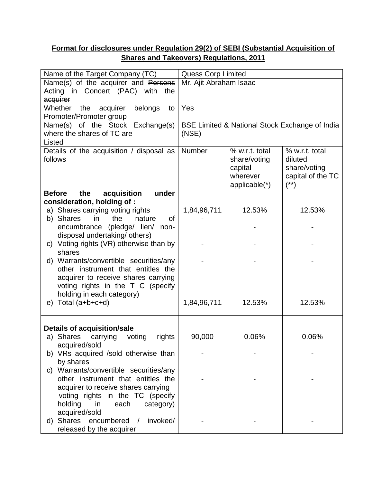# **Format for disclosures under Regulation 29(2) of SEBI (Substantial Acquisition of Shares and Takeovers) Regulations, 2011**

| acquirer                   | Name(s) of the acquirer and Persons<br>Acting in Concert (PAC) with the<br>Whether<br>the<br>acquirer<br>belongs<br>to<br>Promoter/Promoter group<br>Name(s) of the Stock Exchange(s)                                                                         | Mr. Ajit Abraham Isaac<br>Yes                  |                |                   |  |  |
|----------------------------|---------------------------------------------------------------------------------------------------------------------------------------------------------------------------------------------------------------------------------------------------------------|------------------------------------------------|----------------|-------------------|--|--|
|                            |                                                                                                                                                                                                                                                               |                                                |                |                   |  |  |
|                            |                                                                                                                                                                                                                                                               |                                                |                |                   |  |  |
|                            |                                                                                                                                                                                                                                                               |                                                |                |                   |  |  |
|                            |                                                                                                                                                                                                                                                               |                                                |                |                   |  |  |
|                            |                                                                                                                                                                                                                                                               |                                                |                |                   |  |  |
|                            |                                                                                                                                                                                                                                                               | BSE Limited & National Stock Exchange of India |                |                   |  |  |
| where the shares of TC are |                                                                                                                                                                                                                                                               | (NSE)                                          |                |                   |  |  |
| Listed                     |                                                                                                                                                                                                                                                               |                                                |                |                   |  |  |
|                            | Details of the acquisition / disposal as                                                                                                                                                                                                                      | Number                                         | % w.r.t. total | % w.r.t. total    |  |  |
| follows                    |                                                                                                                                                                                                                                                               |                                                | share/voting   | diluted           |  |  |
|                            |                                                                                                                                                                                                                                                               |                                                | capital        | share/voting      |  |  |
|                            |                                                                                                                                                                                                                                                               |                                                | wherever       | capital of the TC |  |  |
|                            |                                                                                                                                                                                                                                                               |                                                | applicable(*)  | $(***)$           |  |  |
| <b>Before</b>              | acquisition<br>under<br>the                                                                                                                                                                                                                                   |                                                |                |                   |  |  |
|                            | consideration, holding of:                                                                                                                                                                                                                                    |                                                |                |                   |  |  |
|                            | a) Shares carrying voting rights                                                                                                                                                                                                                              | 1,84,96,711                                    | 12.53%         | 12.53%            |  |  |
|                            | of<br>b) Shares<br>the<br>nature<br>in.                                                                                                                                                                                                                       |                                                |                |                   |  |  |
|                            | encumbrance (pledge/ lien/ non-                                                                                                                                                                                                                               |                                                |                |                   |  |  |
|                            | disposal undertaking/ others)                                                                                                                                                                                                                                 |                                                |                |                   |  |  |
|                            | c) Voting rights (VR) otherwise than by                                                                                                                                                                                                                       |                                                |                |                   |  |  |
|                            | shares                                                                                                                                                                                                                                                        |                                                |                |                   |  |  |
|                            | d) Warrants/convertible securities/any                                                                                                                                                                                                                        |                                                |                |                   |  |  |
|                            | other instrument that entitles the                                                                                                                                                                                                                            |                                                |                |                   |  |  |
|                            | acquirer to receive shares carrying                                                                                                                                                                                                                           |                                                |                |                   |  |  |
|                            | voting rights in the T C (specify                                                                                                                                                                                                                             |                                                |                |                   |  |  |
|                            | holding in each category)                                                                                                                                                                                                                                     |                                                |                |                   |  |  |
| e)                         | Total (a+b+c+d)                                                                                                                                                                                                                                               | 1,84,96,711                                    | 12.53%         | 12.53%            |  |  |
|                            |                                                                                                                                                                                                                                                               |                                                |                |                   |  |  |
|                            | Details of acquisition/sale                                                                                                                                                                                                                                   |                                                |                |                   |  |  |
|                            | a) Shares<br>carrying<br>voting<br>rights                                                                                                                                                                                                                     | 90,000                                         | 0.06%          | 0.06%             |  |  |
|                            | acquired/sold                                                                                                                                                                                                                                                 |                                                |                |                   |  |  |
|                            | b) VRs acquired /sold otherwise than                                                                                                                                                                                                                          |                                                |                |                   |  |  |
|                            | by shares                                                                                                                                                                                                                                                     |                                                |                |                   |  |  |
|                            |                                                                                                                                                                                                                                                               |                                                |                |                   |  |  |
|                            |                                                                                                                                                                                                                                                               |                                                |                |                   |  |  |
|                            |                                                                                                                                                                                                                                                               |                                                |                |                   |  |  |
|                            |                                                                                                                                                                                                                                                               |                                                |                |                   |  |  |
|                            |                                                                                                                                                                                                                                                               |                                                |                |                   |  |  |
|                            |                                                                                                                                                                                                                                                               |                                                |                |                   |  |  |
|                            |                                                                                                                                                                                                                                                               |                                                |                |                   |  |  |
|                            | released by the acquirer                                                                                                                                                                                                                                      |                                                |                |                   |  |  |
| C)<br>d)                   | Warrants/convertible securities/any<br>other instrument that entitles the<br>acquirer to receive shares carrying<br>voting rights in the TC (specify<br>holding<br>in<br>each<br>category)<br>acquired/sold<br>Shares<br>encumbered<br>invoked/<br>$\sqrt{2}$ |                                                |                |                   |  |  |